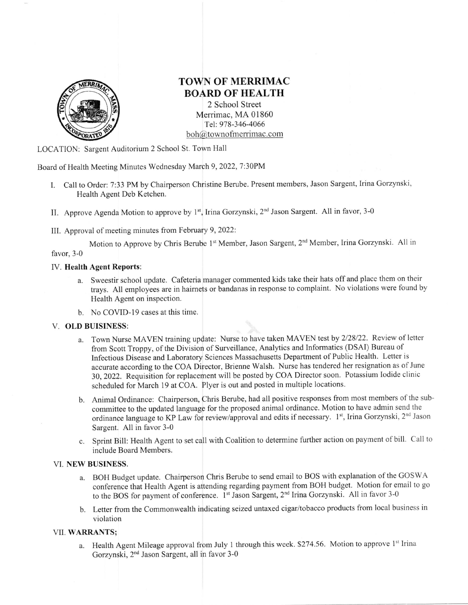

# TOWN OF MERRIMAC EOARD OF HEALTH

2 School Street Merrimac, MA 01860 Tel: 978-346-4066  $\text{boh@townof}$  merrimac.com

LOCATION: Sargent Auditorium 2 School St. Town Hall

Board of Health Meeting Minutes Wednesday March 9,2022,7:30PM

- I. Call to Order: 7:33 PM by Chairperson Christine Berube. Present members, Jason Sargent, Irina Gorzynski, Health Agent Deb Ketchen.
- II. Approve Agenda Motion to approve by 1<sup>st</sup>, Irina Gorzynski, 2<sup>nd</sup> Jason Sargent. All in favor, 3-0
- III. Approval of meeting minutes from February 9,2022:

Motion to Approve by Chris Berube 1<sup>st</sup> Member, Jason Sargent, 2<sup>nd</sup> Member, Irina Gorzynski. All in favor, 3-0

### IV. Health Agent Reports:

- a. Sweestir school update. Cafeteria manager commented kids take their hats off and place them on their trays. All employees are in hairnets or bandanas in response to complaint. No violations were found by Health Agent on inspection.
- b. No COVID-I9 cases at this time.

#### V. OLD BUISINESS:

- a. Town Nurse MAVEN training update: Nurse to have taken MAVEN test by 2/28/22. Review of letter from Scott Troppy, of the Division of Surveillance, Analytics and Informatics (DSAI) Bureau of Infectious Disease and Laboratory Sciences Massachusetts Department of Public Health. Letter is accurate according to the COA Director, Brienne Walsh. Nurse has tendered her resignation as of June 30,2022. Requisition for replacement will be posted by COA Director soon. Potassium Iodide clinic scheduled for March 19 at COA. Plyer is out and posted in multiple locations.
- b. Animal Ordinance: Chairperson, Chris Berube, had all positive responses from most members of the subcommittee to the updated language for the proposed animal ordinance. Motion to have admin send the ordinance language to KP Law for review/approval and edits if necessary. 1st, Irina Gorzynski, 2<sup>nd</sup> Jason Sargent. All in favor 3-0
- c. Sprint Bill: Health Agent to set call with Coalition to determine further action on payment of bill. Call to include Board Members.

#### VI. NEW BUSINESS.

- a. BOH Budget update. Chairperson Chris Berube to send email to BOS with explanation of the GOSWA conference that Health Agent is attending regarding payment from BOH budget. Motion for email to go to the BOS for payment of conference. 1<sup>st</sup> Jason Sargent, 2<sup>nd</sup> Irina Gorzynski. All in favor 3-0
- b. Letter from the Commonwealth indicating seized untaxed cigar/tobacco products from local business in violation

## VII. WARRANTS;

a. Health Agent Mileage approval from July 1 through this week. \$274.56. Motion to approve 1<sup>st</sup> Irina Gorzynski, 2nd Jason Sargent, all in favor 3-0